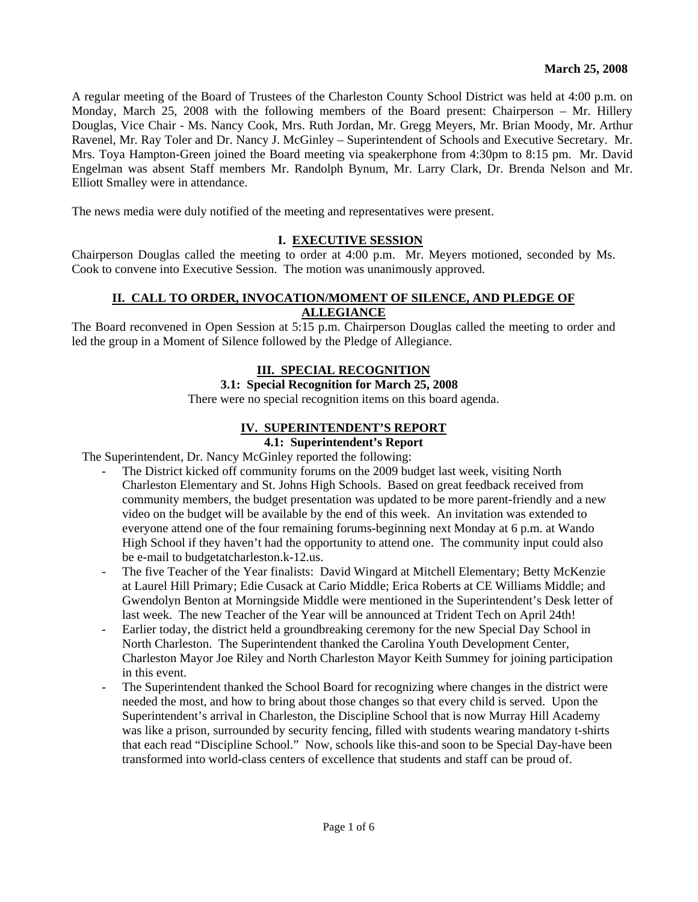A regular meeting of the Board of Trustees of the Charleston County School District was held at 4:00 p.m. on Monday, March 25, 2008 with the following members of the Board present: Chairperson – Mr. Hillery Douglas, Vice Chair - Ms. Nancy Cook, Mrs. Ruth Jordan, Mr. Gregg Meyers, Mr. Brian Moody, Mr. Arthur Ravenel, Mr. Ray Toler and Dr. Nancy J. McGinley – Superintendent of Schools and Executive Secretary. Mr. Mrs. Toya Hampton-Green joined the Board meeting via speakerphone from 4:30pm to 8:15 pm. Mr. David Engelman was absent Staff members Mr. Randolph Bynum, Mr. Larry Clark, Dr. Brenda Nelson and Mr. Elliott Smalley were in attendance.

The news media were duly notified of the meeting and representatives were present.

#### **I. EXECUTIVE SESSION**

Chairperson Douglas called the meeting to order at 4:00 p.m. Mr. Meyers motioned, seconded by Ms. Cook to convene into Executive Session. The motion was unanimously approved.

## **II. CALL TO ORDER, INVOCATION/MOMENT OF SILENCE, AND PLEDGE OF ALLEGIANCE**

The Board reconvened in Open Session at 5:15 p.m. Chairperson Douglas called the meeting to order and led the group in a Moment of Silence followed by the Pledge of Allegiance.

#### **III. SPECIAL RECOGNITION**

## **3.1: Special Recognition for March 25, 2008**

There were no special recognition items on this board agenda.

## **IV. SUPERINTENDENT'S REPORT**

## **4.1: Superintendent's Report**

The Superintendent, Dr. Nancy McGinley reported the following:

- The District kicked off community forums on the 2009 budget last week, visiting North Charleston Elementary and St. Johns High Schools. Based on great feedback received from community members, the budget presentation was updated to be more parent-friendly and a new video on the budget will be available by the end of this week. An invitation was extended to everyone attend one of the four remaining forums-beginning next Monday at 6 p.m. at Wando High School if they haven't had the opportunity to attend one. The community input could also be e-mail to budgetatcharleston.k-12.us.
- The five Teacher of the Year finalists: David Wingard at Mitchell Elementary; Betty McKenzie at Laurel Hill Primary; Edie Cusack at Cario Middle; Erica Roberts at CE Williams Middle; and Gwendolyn Benton at Morningside Middle were mentioned in the Superintendent's Desk letter of last week. The new Teacher of the Year will be announced at Trident Tech on April 24th!
- Earlier today, the district held a groundbreaking ceremony for the new Special Day School in North Charleston. The Superintendent thanked the Carolina Youth Development Center, Charleston Mayor Joe Riley and North Charleston Mayor Keith Summey for joining participation in this event.
- The Superintendent thanked the School Board for recognizing where changes in the district were needed the most, and how to bring about those changes so that every child is served. Upon the Superintendent's arrival in Charleston, the Discipline School that is now Murray Hill Academy was like a prison, surrounded by security fencing, filled with students wearing mandatory t-shirts that each read "Discipline School." Now, schools like this-and soon to be Special Day-have been transformed into world-class centers of excellence that students and staff can be proud of.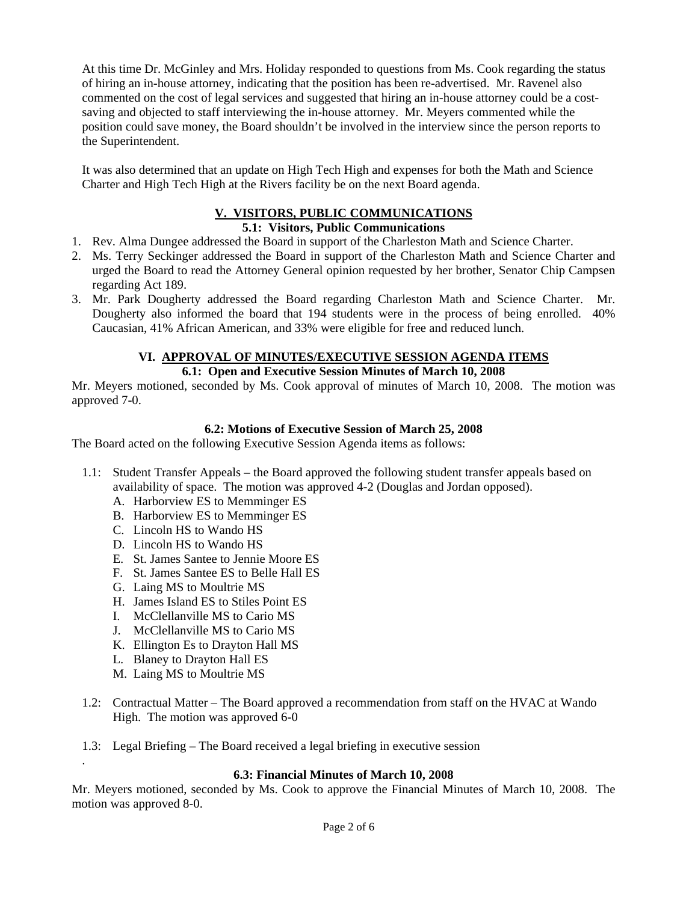At this time Dr. McGinley and Mrs. Holiday responded to questions from Ms. Cook regarding the status of hiring an in-house attorney, indicating that the position has been re-advertised. Mr. Ravenel also commented on the cost of legal services and suggested that hiring an in-house attorney could be a costsaving and objected to staff interviewing the in-house attorney. Mr. Meyers commented while the position could save money, the Board shouldn't be involved in the interview since the person reports to the Superintendent.

It was also determined that an update on High Tech High and expenses for both the Math and Science Charter and High Tech High at the Rivers facility be on the next Board agenda.

# **V. VISITORS, PUBLIC COMMUNICATIONS**

## **5.1: Visitors, Public Communications**

- 1. Rev. Alma Dungee addressed the Board in support of the Charleston Math and Science Charter.
- 2. Ms. Terry Seckinger addressed the Board in support of the Charleston Math and Science Charter and urged the Board to read the Attorney General opinion requested by her brother, Senator Chip Campsen regarding Act 189.
- 3. Mr. Park Dougherty addressed the Board regarding Charleston Math and Science Charter. Mr. Dougherty also informed the board that 194 students were in the process of being enrolled. 40% Caucasian, 41% African American, and 33% were eligible for free and reduced lunch.

## **VI. APPROVAL OF MINUTES/EXECUTIVE SESSION AGENDA ITEMS 6.1: Open and Executive Session Minutes of March 10, 2008**

Mr. Meyers motioned, seconded by Ms. Cook approval of minutes of March 10, 2008. The motion was approved 7-0.

## **6.2: Motions of Executive Session of March 25, 2008**

The Board acted on the following Executive Session Agenda items as follows:

- 1.1: Student Transfer Appeals the Board approved the following student transfer appeals based on availability of space. The motion was approved 4-2 (Douglas and Jordan opposed).
	- A. Harborview ES to Memminger ES
	- B. Harborview ES to Memminger ES
	- C. Lincoln HS to Wando HS
	- D. Lincoln HS to Wando HS
	- E. St. James Santee to Jennie Moore ES
	- F. St. James Santee ES to Belle Hall ES
	- G. Laing MS to Moultrie MS
	- H. James Island ES to Stiles Point ES
	- I. McClellanville MS to Cario MS
	- J. McClellanville MS to Cario MS
	- K. Ellington Es to Drayton Hall MS
	- L. Blaney to Drayton Hall ES
	- M. Laing MS to Moultrie MS

.

- 1.2: Contractual Matter The Board approved a recommendation from staff on the HVAC at Wando High. The motion was approved 6-0
- 1.3: Legal Briefing The Board received a legal briefing in executive session

## **6.3: Financial Minutes of March 10, 2008**

Mr. Meyers motioned, seconded by Ms. Cook to approve the Financial Minutes of March 10, 2008. The motion was approved 8-0.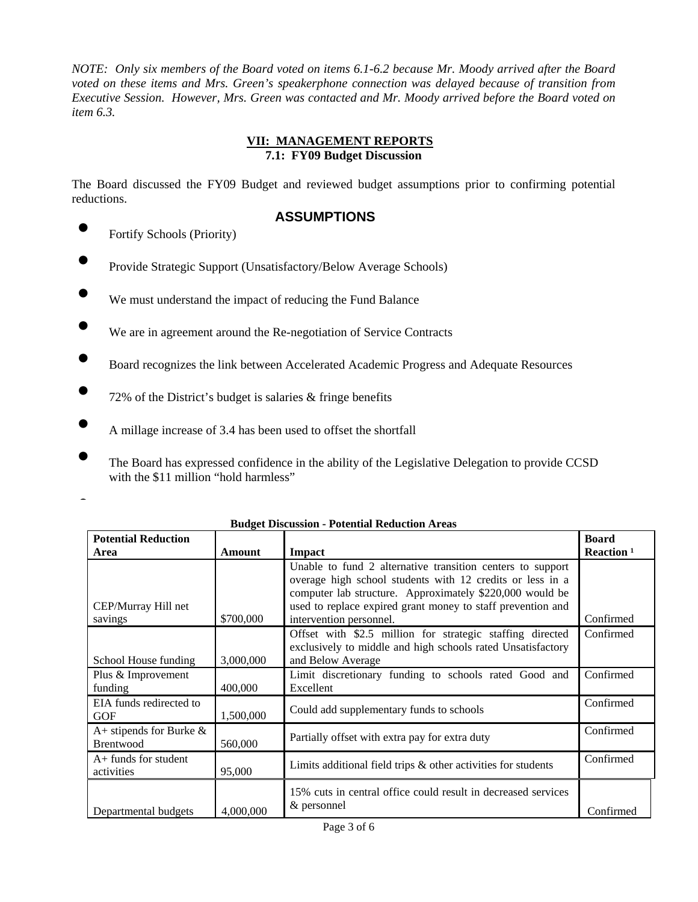*NOTE: Only six members of the Board voted on items 6.1-6.2 because Mr. Moody arrived after the Board voted on these items and Mrs. Green's speakerphone connection was delayed because of transition from Executive Session. However, Mrs. Green was contacted and Mr. Moody arrived before the Board voted on item 6.3.* 

## **VII: MANAGEMENT REPORTS 7.1: FY09 Budget Discussion**

The Board discussed the FY09 Budget and reviewed budget assumptions prior to confirming potential reductions.

## **ASSUMPTIONS**

• Fortify Schools (Priority)

- Provide Strategic Support (Unsatisfactory/Below Average Schools)
- We must understand the impact of reducing the Fund Balance
- We are in agreement around the Re-negotiation of Service Contracts
- Board recognizes the link between Accelerated Academic Progress and Adequate Resources
- 72% of the District's budget is salaries  $&$  fringe benefits
- A millage increase of 3.4 has been used to offset the shortfall
	- The Board has expressed confidence in the ability of the Legislative Delegation to provide CCSD with the \$11 million "hold harmless"

| ٠ |  |
|---|--|
|   |  |
|   |  |
|   |  |
|   |  |

| <b>Potential Reduction</b>              |           |                                                                                                                                                                                                                                                    | <b>Board</b>           |
|-----------------------------------------|-----------|----------------------------------------------------------------------------------------------------------------------------------------------------------------------------------------------------------------------------------------------------|------------------------|
| Area                                    | Amount    | <b>Impact</b>                                                                                                                                                                                                                                      | Reaction <sup>1</sup>  |
| CEP/Murray Hill net                     |           | Unable to fund 2 alternative transition centers to support<br>overage high school students with 12 credits or less in a<br>computer lab structure. Approximately \$220,000 would be<br>used to replace expired grant money to staff prevention and |                        |
| savings                                 | \$700,000 | intervention personnel.<br>Offset with \$2.5 million for strategic staffing directed                                                                                                                                                               | Confirmed<br>Confirmed |
| School House funding                    | 3,000,000 | exclusively to middle and high schools rated Unsatisfactory<br>and Below Average                                                                                                                                                                   |                        |
| Plus & Improvement<br>funding           | 400,000   | Limit discretionary funding to schools rated Good and<br>Excellent                                                                                                                                                                                 | Confirmed              |
| EIA funds redirected to<br><b>GOF</b>   | 1,500,000 | Could add supplementary funds to schools                                                                                                                                                                                                           | Confirmed              |
| A+ stipends for Burke $\&$<br>Brentwood | 560,000   | Partially offset with extra pay for extra duty                                                                                                                                                                                                     | Confirmed              |
| $A+$ funds for student<br>activities    | 95,000    | Limits additional field trips $\&$ other activities for students                                                                                                                                                                                   | Confirmed              |
| Departmental budgets                    | 4,000,000 | 15% cuts in central office could result in decreased services<br>& personnel                                                                                                                                                                       | Confirmed              |

## **Budget Discussion - Potential Reduction Areas**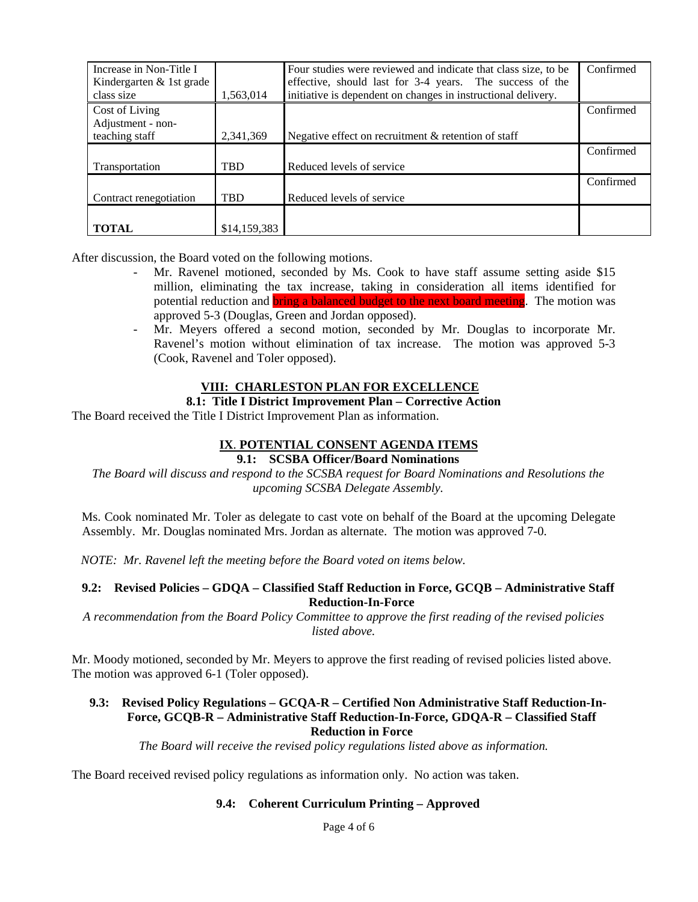| Increase in Non-Title I<br>Kindergarten & 1st grade<br>class size | 1,563,014    | Four studies were reviewed and indicate that class size, to be<br>effective, should last for 3-4 years. The success of the<br>initiative is dependent on changes in instructional delivery. | Confirmed |
|-------------------------------------------------------------------|--------------|---------------------------------------------------------------------------------------------------------------------------------------------------------------------------------------------|-----------|
| Cost of Living                                                    |              |                                                                                                                                                                                             | Confirmed |
| Adjustment - non-<br>teaching staff                               | 2,341,369    | Negative effect on recruitment & retention of staff                                                                                                                                         |           |
|                                                                   |              |                                                                                                                                                                                             | Confirmed |
| Transportation                                                    | <b>TBD</b>   | Reduced levels of service                                                                                                                                                                   |           |
|                                                                   |              |                                                                                                                                                                                             | Confirmed |
| Contract renegotiation                                            | <b>TBD</b>   | Reduced levels of service                                                                                                                                                                   |           |
|                                                                   |              |                                                                                                                                                                                             |           |
| <b>TOTAL</b>                                                      | \$14,159,383 |                                                                                                                                                                                             |           |

After discussion, the Board voted on the following motions.

- Mr. Ravenel motioned, seconded by Ms. Cook to have staff assume setting aside \$15 million, eliminating the tax increase, taking in consideration all items identified for potential reduction and **bring a balanced budget to the next board meeting**. The motion was approved 5-3 (Douglas, Green and Jordan opposed).
- Mr. Meyers offered a second motion, seconded by Mr. Douglas to incorporate Mr. Ravenel's motion without elimination of tax increase. The motion was approved 5-3 (Cook, Ravenel and Toler opposed).

## **VIII: CHARLESTON PLAN FOR EXCELLENCE**

## **8.1: Title I District Improvement Plan – Corrective Action**

The Board received the Title I District Improvement Plan as information.

## **IX**. **POTENTIAL CONSENT AGENDA ITEMS**

## **9.1: SCSBA Officer/Board Nominations**

*The Board will discuss and respond to the SCSBA request for Board Nominations and Resolutions the upcoming SCSBA Delegate Assembly.* 

Ms. Cook nominated Mr. Toler as delegate to cast vote on behalf of the Board at the upcoming Delegate Assembly. Mr. Douglas nominated Mrs. Jordan as alternate. The motion was approved 7-0.

*NOTE: Mr. Ravenel left the meeting before the Board voted on items below.* 

## **9.2: Revised Policies – GDQA – Classified Staff Reduction in Force, GCQB – Administrative Staff Reduction-In-Force**

*A recommendation from the Board Policy Committee to approve the first reading of the revised policies listed above.* 

Mr. Moody motioned, seconded by Mr. Meyers to approve the first reading of revised policies listed above. The motion was approved 6-1 (Toler opposed).

#### **9.3: Revised Policy Regulations – GCQA-R – Certified Non Administrative Staff Reduction-In-Force, GCQB-R – Administrative Staff Reduction-In-Force, GDQA-R – Classified Staff Reduction in Force**

*The Board will receive the revised policy regulations listed above as information.* 

The Board received revised policy regulations as information only. No action was taken.

## **9.4: Coherent Curriculum Printing – Approved**

Page 4 of 6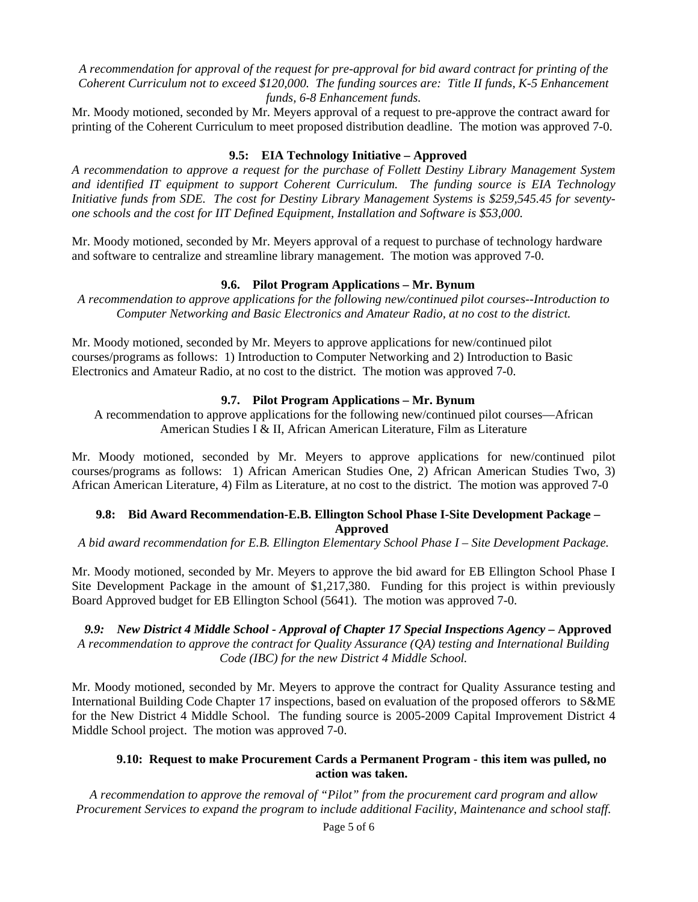*A recommendation for approval of the request for pre-approval for bid award contract for printing of the Coherent Curriculum not to exceed \$120,000. The funding sources are: Title II funds, K-5 Enhancement funds, 6-8 Enhancement funds.* 

Mr. Moody motioned, seconded by Mr. Meyers approval of a request to pre-approve the contract award for printing of the Coherent Curriculum to meet proposed distribution deadline. The motion was approved 7-0.

#### **9.5: EIA Technology Initiative – Approved**

*A recommendation to approve a request for the purchase of Follett Destiny Library Management System and identified IT equipment to support Coherent Curriculum. The funding source is EIA Technology Initiative funds from SDE. The cost for Destiny Library Management Systems is \$259,545.45 for seventyone schools and the cost for IIT Defined Equipment, Installation and Software is \$53,000.* 

Mr. Moody motioned, seconded by Mr. Meyers approval of a request to purchase of technology hardware and software to centralize and streamline library management. The motion was approved 7-0.

#### **9.6. Pilot Program Applications – Mr. Bynum**

*A recommendation to approve applications for the following new/continued pilot courses--Introduction to Computer Networking and Basic Electronics and Amateur Radio, at no cost to the district.* 

Mr. Moody motioned, seconded by Mr. Meyers to approve applications for new/continued pilot courses/programs as follows: 1) Introduction to Computer Networking and 2) Introduction to Basic Electronics and Amateur Radio, at no cost to the district. The motion was approved 7-0.

## **9.7. Pilot Program Applications – Mr. Bynum**

A recommendation to approve applications for the following new/continued pilot courses—African American Studies I & II, African American Literature, Film as Literature

Mr. Moody motioned, seconded by Mr. Meyers to approve applications for new/continued pilot courses/programs as follows: 1) African American Studies One, 2) African American Studies Two, 3) African American Literature, 4) Film as Literature, at no cost to the district. The motion was approved 7-0

#### **9.8: Bid Award Recommendation-E.B. Ellington School Phase I-Site Development Package – Approved**

*A bid award recommendation for E.B. Ellington Elementary School Phase I – Site Development Package.* 

Mr. Moody motioned, seconded by Mr. Meyers to approve the bid award for EB Ellington School Phase I Site Development Package in the amount of \$1,217,380. Funding for this project is within previously Board Approved budget for EB Ellington School (5641). The motion was approved 7-0.

9.9: New District 4 Middle School - Approval of Chapter 17 Special Inspections Agency - Approved *A recommendation to approve the contract for Quality Assurance (QA) testing and International Building Code (IBC) for the new District 4 Middle School.* 

Mr. Moody motioned, seconded by Mr. Meyers to approve the contract for Quality Assurance testing and International Building Code Chapter 17 inspections, based on evaluation of the proposed offerors to S&ME for the New District 4 Middle School. The funding source is 2005-2009 Capital Improvement District 4 Middle School project. The motion was approved 7-0.

### **9.10: Request to make Procurement Cards a Permanent Program - this item was pulled, no action was taken.**

*A recommendation to approve the removal of "Pilot" from the procurement card program and allow Procurement Services to expand the program to include additional Facility, Maintenance and school staff.*